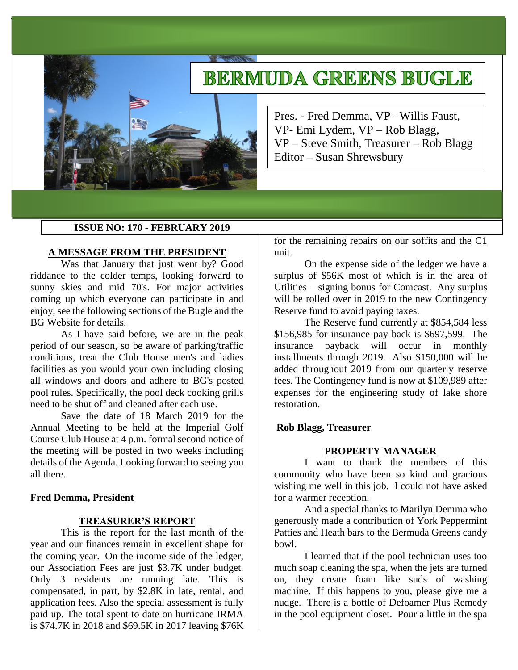# **BERMUDA GREENS BUGLE**



Pres. - Fred Demma, VP –Willis Faust, VP- Emi Lydem, VP – Rob Blagg, VP – Steve Smith, Treasurer – Rob Blagg Editor – Susan Shrewsbury

## **ISSUE NO: 170 - FEBRUARY 2019**

#### **A MESSAGE FROM THE PRESIDENT**

Was that January that just went by? Good riddance to the colder temps, looking forward to sunny skies and mid 70's. For major activities coming up which everyone can participate in and enjoy, see the following sections of the Bugle and the BG Website for details.

As I have said before, we are in the peak period of our season, so be aware of parking/traffic conditions, treat the Club House men's and ladies facilities as you would your own including closing all windows and doors and adhere to BG's posted pool rules. Specifically, the pool deck cooking grills need to be shut off and cleaned after each use.

Save the date of 18 March 2019 for the Annual Meeting to be held at the Imperial Golf Course Club House at 4 p.m. formal second notice of the meeting will be posted in two weeks including details of the Agenda. Looking forward to seeing you all there.

## **Fred Demma, President**

#### **TREASURER'S REPORT**

This is the report for the last month of the year and our finances remain in excellent shape for the coming year. On the income side of the ledger, our Association Fees are just \$3.7K under budget. Only 3 residents are running late. This is compensated, in part, by \$2.8K in late, rental, and application fees. Also the special assessment is fully paid up. The total spent to date on hurricane IRMA is \$74.7K in 2018 and \$69.5K in 2017 leaving \$76K

for the remaining repairs on our soffits and the C1 unit.

On the expense side of the ledger we have a surplus of \$56K most of which is in the area of Utilities – signing bonus for Comcast. Any surplus will be rolled over in 2019 to the new Contingency Reserve fund to avoid paying taxes.

The Reserve fund currently at \$854,584 less \$156,985 for insurance pay back is \$697,599. The insurance payback will occur in monthly installments through 2019. Also \$150,000 will be added throughout 2019 from our quarterly reserve fees. The Contingency fund is now at \$109,989 after expenses for the engineering study of lake shore restoration.

## **Rob Blagg, Treasurer**

#### **PROPERTY MANAGER**

I want to thank the members of this community who have been so kind and gracious wishing me well in this job. I could not have asked for a warmer reception.

And a special thanks to Marilyn Demma who generously made a contribution of York Peppermint Patties and Heath bars to the Bermuda Greens candy bowl.

I learned that if the pool technician uses too much soap cleaning the spa, when the jets are turned on, they create foam like suds of washing machine. If this happens to you, please give me a nudge. There is a bottle of Defoamer Plus Remedy in the pool equipment closet. Pour a little in the spa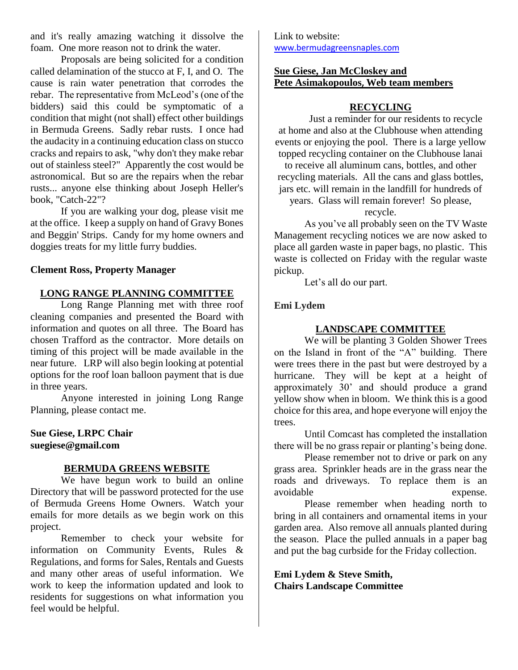and it's really amazing watching it dissolve the foam. One more reason not to drink the water.

Proposals are being solicited for a condition called delamination of the stucco at F, I, and O. The cause is rain water penetration that corrodes the rebar. The representative from McLeod's (one of the bidders) said this could be symptomatic of a condition that might (not shall) effect other buildings in Bermuda Greens. Sadly rebar rusts. I once had the audacity in a continuing education class on stucco cracks and repairs to ask, "why don't they make rebar out of stainless steel?" Apparently the cost would be astronomical. But so are the repairs when the rebar rusts... anyone else thinking about Joseph Heller's book, "Catch-22"?

If you are walking your dog, please visit me at the office. I keep a supply on hand of Gravy Bones and Beggin' Strips. Candy for my home owners and doggies treats for my little furry buddies.

## **Clement Ross, Property Manager**

# **LONG RANGE PLANNING COMMITTEE**

Long Range Planning met with three roof cleaning companies and presented the Board with information and quotes on all three. The Board has chosen Trafford as the contractor. More details on timing of this project will be made available in the near future. LRP will also begin looking at potential options for the roof loan balloon payment that is due in three years.

Anyone interested in joining Long Range Planning, please contact me.

**Sue Giese, LRPC Chair suegiese@gmail.com**

## **BERMUDA GREENS WEBSITE**

We have begun work to build an online Directory that will be password protected for the use of Bermuda Greens Home Owners. Watch your emails for more details as we begin work on this project.

Remember to check your website for information on Community Events, Rules & Regulations, and forms for Sales, Rentals and Guests and many other areas of useful information. We work to keep the information updated and look to residents for suggestions on what information you feel would be helpful.

Link to website: [www.bermudagreensnaples.com](http://www.bermudagreensnaples.com/)

# **Sue Giese, Jan McCloskey and Pete Asimakopoulos, Web team members**

# **RECYCLING**

Just a reminder for our residents to recycle at home and also at the Clubhouse when attending events or enjoying the pool. There is a large yellow topped recycling container on the Clubhouse lanai to receive all aluminum cans, bottles, and other recycling materials. All the cans and glass bottles, jars etc. will remain in the landfill for hundreds of years. Glass will remain forever! So please,

recycle.

As you've all probably seen on the TV Waste Management recycling notices we are now asked to place all garden waste in paper bags, no plastic. This waste is collected on Friday with the regular waste pickup.

Let's all do our part.

# **Emi Lydem**

## **LANDSCAPE COMMITTEE**

We will be planting 3 Golden Shower Trees on the Island in front of the "A" building. There were trees there in the past but were destroyed by a hurricane. They will be kept at a height of approximately 30' and should produce a grand yellow show when in bloom. We think this is a good choice for this area, and hope everyone will enjoy the trees.

Until Comcast has completed the installation there will be no grass repair or planting's being done.

Please remember not to drive or park on any grass area. Sprinkler heads are in the grass near the roads and driveways. To replace them is an avoidable expense.

Please remember when heading north to bring in all containers and ornamental items in your garden area. Also remove all annuals planted during the season. Place the pulled annuals in a paper bag and put the bag curbside for the Friday collection.

**Emi Lydem & Steve Smith, Chairs Landscape Committee**